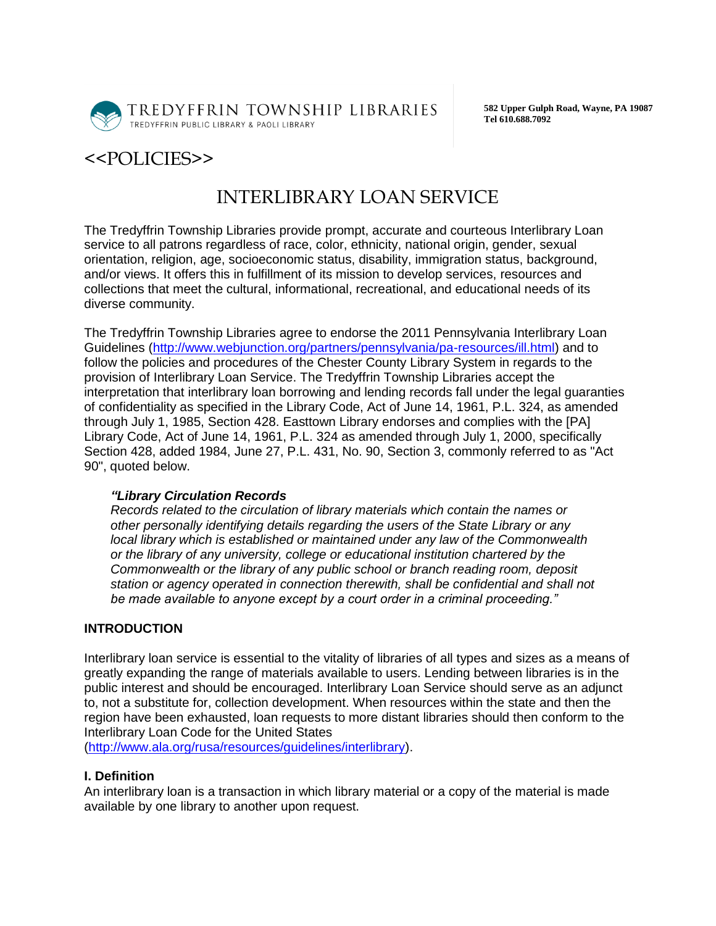

TREDYFFRIN TOWNSHIP LIBRARIES TREDYFFRIN PUBLIC LIBRARY & PAOLI LIBRARY

**582 Upper Gulph Road, Wayne, PA 19087 Tel 610.688.7092**

## <<POLICIES>>

# INTERLIBRARY LOAN SERVICE

The Tredyffrin Township Libraries provide prompt, accurate and courteous Interlibrary Loan service to all patrons regardless of race, color, ethnicity, national origin, gender, sexual orientation, religion, age, socioeconomic status, disability, immigration status, background, and/or views. It offers this in fulfillment of its mission to develop services, resources and collections that meet the cultural, informational, recreational, and educational needs of its diverse community.

The Tredyffrin Township Libraries agree to endorse the 2011 Pennsylvania Interlibrary Loan Guidelines [\(http://www.webjunction.org/partners/pennsylvania/pa-resources/ill.html\)](http://www.webjunction.org/partners/pennsylvania/pa-resources/ill.html) and to follow the policies and procedures of the Chester County Library System in regards to the provision of Interlibrary Loan Service. The Tredyffrin Township Libraries accept the interpretation that interlibrary loan borrowing and lending records fall under the legal guaranties of confidentiality as specified in the Library Code, Act of June 14, 1961, P.L. 324, as amended through July 1, 1985, Section 428. Easttown Library endorses and complies with the [PA] Library Code, Act of June 14, 1961, P.L. 324 as amended through July 1, 2000, specifically Section 428, added 1984, June 27, P.L. 431, No. 90, Section 3, commonly referred to as "Act 90", quoted below.

#### *"Library Circulation Records*

*Records related to the circulation of library materials which contain the names or other personally identifying details regarding the users of the State Library or any local library which is established or maintained under any law of the Commonwealth or the library of any university, college or educational institution chartered by the Commonwealth or the library of any public school or branch reading room, deposit station or agency operated in connection therewith, shall be confidential and shall not be made available to anyone except by a court order in a criminal proceeding."*

#### **INTRODUCTION**

Interlibrary loan service is essential to the vitality of libraries of all types and sizes as a means of greatly expanding the range of materials available to users. Lending between libraries is in the public interest and should be encouraged. Interlibrary Loan Service should serve as an adjunct to, not a substitute for, collection development. When resources within the state and then the region have been exhausted, loan requests to more distant libraries should then conform to the Interlibrary Loan Code for the United States

[\(http://www.ala.org/rusa/resources/guidelines/interlibrary\)](http://www.ala.org/rusa/resources/guidelines/interlibrary).

#### **I. Definition**

An interlibrary loan is a transaction in which library material or a copy of the material is made available by one library to another upon request.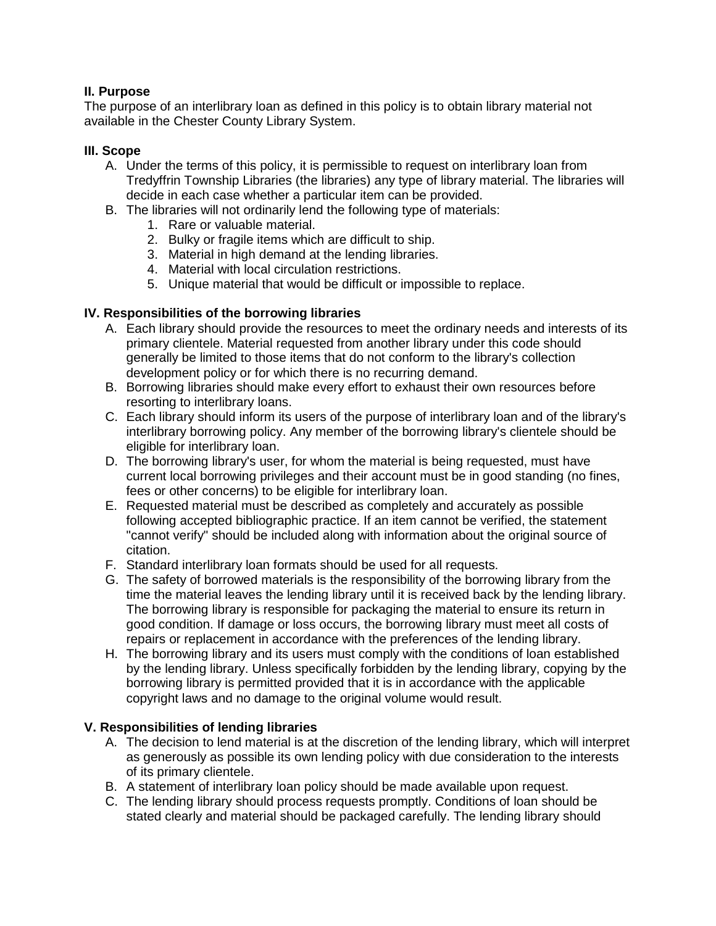### **II. Purpose**

The purpose of an interlibrary loan as defined in this policy is to obtain library material not available in the Chester County Library System.

#### **III. Scope**

- A. Under the terms of this policy, it is permissible to request on interlibrary loan from Tredyffrin Township Libraries (the libraries) any type of library material. The libraries will decide in each case whether a particular item can be provided.
- B. The libraries will not ordinarily lend the following type of materials:
	- 1. Rare or valuable material.
	- 2. Bulky or fragile items which are difficult to ship.
	- 3. Material in high demand at the lending libraries.
	- 4. Material with local circulation restrictions.
	- 5. Unique material that would be difficult or impossible to replace.

#### **IV. Responsibilities of the borrowing libraries**

- A. Each library should provide the resources to meet the ordinary needs and interests of its primary clientele. Material requested from another library under this code should generally be limited to those items that do not conform to the library's collection development policy or for which there is no recurring demand.
- B. Borrowing libraries should make every effort to exhaust their own resources before resorting to interlibrary loans.
- C. Each library should inform its users of the purpose of interlibrary loan and of the library's interlibrary borrowing policy. Any member of the borrowing library's clientele should be eligible for interlibrary loan.
- D. The borrowing library's user, for whom the material is being requested, must have current local borrowing privileges and their account must be in good standing (no fines, fees or other concerns) to be eligible for interlibrary loan.
- E. Requested material must be described as completely and accurately as possible following accepted bibliographic practice. If an item cannot be verified, the statement "cannot verify" should be included along with information about the original source of citation.
- F. Standard interlibrary loan formats should be used for all requests.
- G. The safety of borrowed materials is the responsibility of the borrowing library from the time the material leaves the lending library until it is received back by the lending library. The borrowing library is responsible for packaging the material to ensure its return in good condition. If damage or loss occurs, the borrowing library must meet all costs of repairs or replacement in accordance with the preferences of the lending library.
- H. The borrowing library and its users must comply with the conditions of loan established by the lending library. Unless specifically forbidden by the lending library, copying by the borrowing library is permitted provided that it is in accordance with the applicable copyright laws and no damage to the original volume would result.

#### **V. Responsibilities of lending libraries**

- A. The decision to lend material is at the discretion of the lending library, which will interpret as generously as possible its own lending policy with due consideration to the interests of its primary clientele.
- B. A statement of interlibrary loan policy should be made available upon request.
- C. The lending library should process requests promptly. Conditions of loan should be stated clearly and material should be packaged carefully. The lending library should